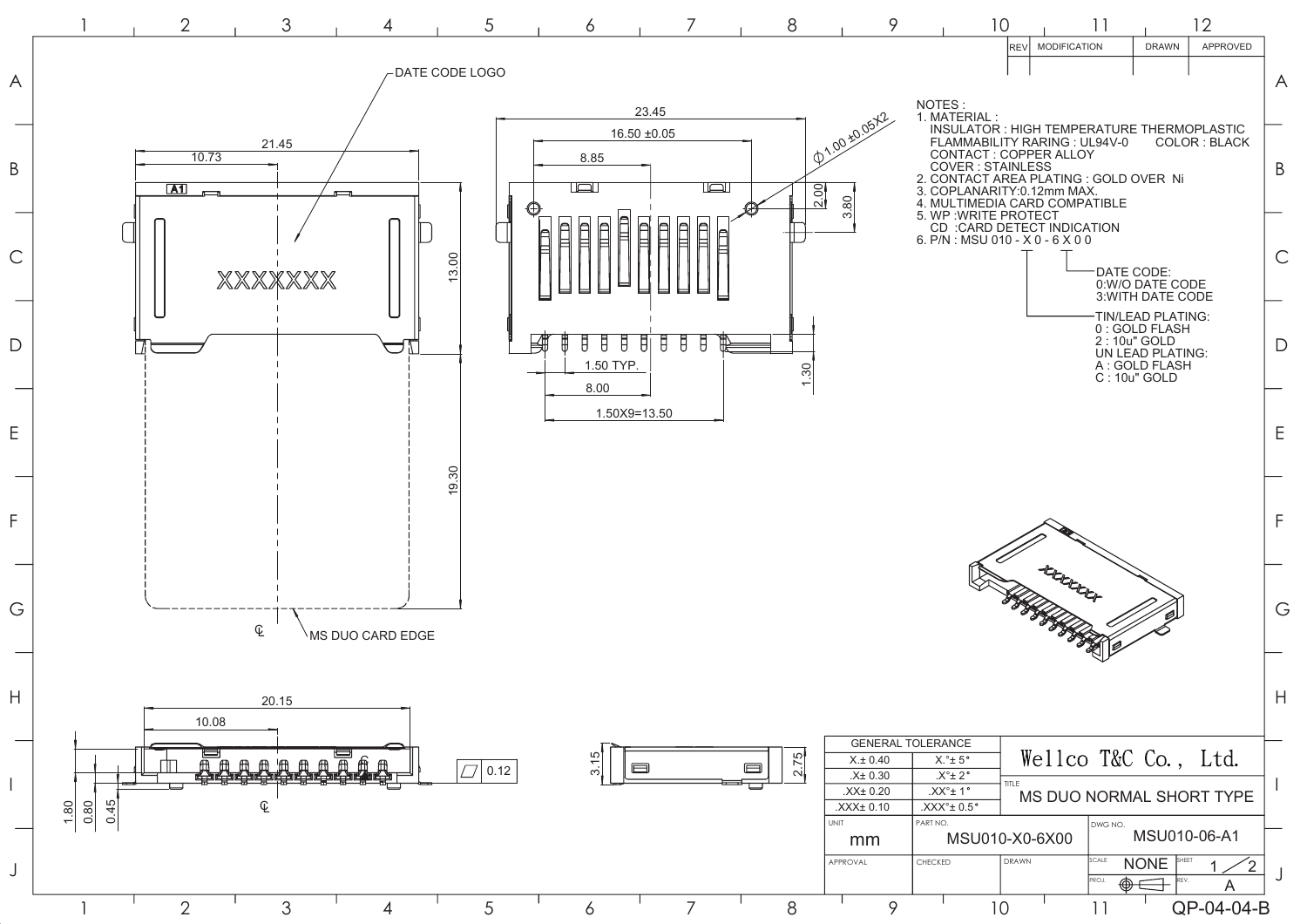